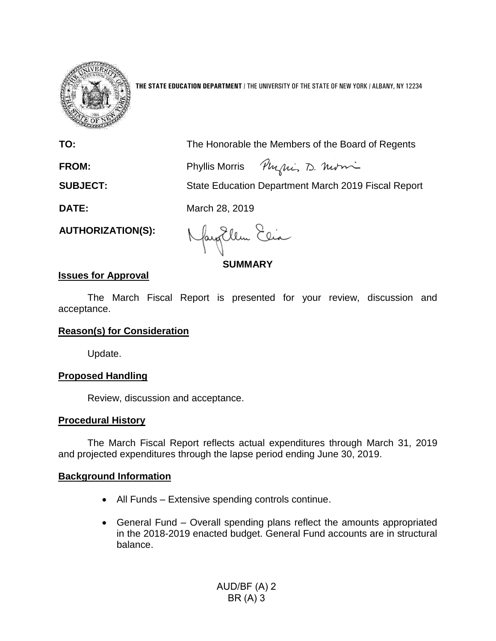

**THE STATE EDUCATION DEPARTMENT** / THE UNIVERSITY OF THE STATE OF NEW YORK / ALBANY, NY 12234

**TO:** The Honorable the Members of the Board of Regents

Physics D. Morri **FROM:** Phyllis Morris

**SUBJECT:** State Education Department March 2019 Fiscal Report

**DATE:** March 28, 2019

**AUTHORIZATION(S):**

fayEllen Elia

**SUMMARY**

# **Issues for Approval**

The March Fiscal Report is presented for your review, discussion and acceptance.

# **Reason(s) for Consideration**

Update.

# **Proposed Handling**

Review, discussion and acceptance.

## **Procedural History**

The March Fiscal Report reflects actual expenditures through March 31, 2019 and projected expenditures through the lapse period ending June 30, 2019.

## **Background Information**

- All Funds Extensive spending controls continue.
- General Fund Overall spending plans reflect the amounts appropriated in the 2018-2019 enacted budget. General Fund accounts are in structural balance.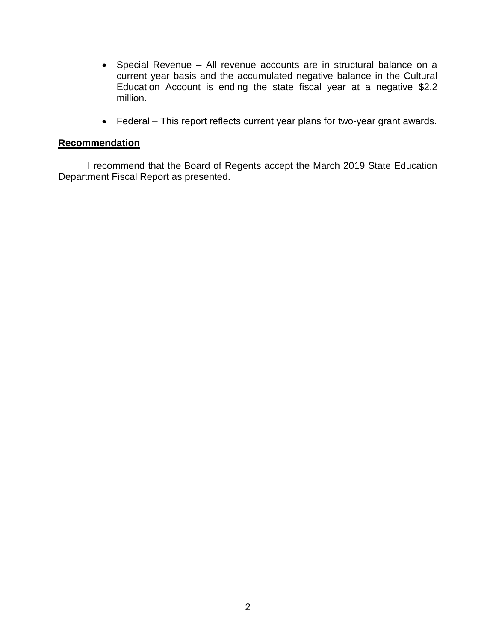- Special Revenue All revenue accounts are in structural balance on a current year basis and the accumulated negative balance in the Cultural Education Account is ending the state fiscal year at a negative \$2.2 million.
- Federal This report reflects current year plans for two-year grant awards.

## **Recommendation**

I recommend that the Board of Regents accept the March 2019 State Education Department Fiscal Report as presented.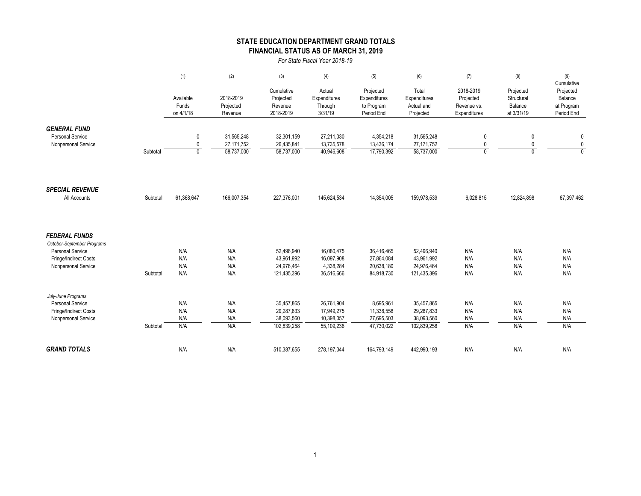### **STATE EDUCATION DEPARTMENT GRAND TOTALS FINANCIAL STATUS AS OF MARCH 31, 2019**

*For State Fiscal Year 2018-19*

|                                                                                                                        |          | (1)                               | (2)                                      | (3)                                                   | (4)                                                  | (5)                                                   | (6)                                                   | (7)                                                   | (8)                                              | (9)                                                            |
|------------------------------------------------------------------------------------------------------------------------|----------|-----------------------------------|------------------------------------------|-------------------------------------------------------|------------------------------------------------------|-------------------------------------------------------|-------------------------------------------------------|-------------------------------------------------------|--------------------------------------------------|----------------------------------------------------------------|
|                                                                                                                        |          | Available<br>Funds<br>on 4/1/18   | 2018-2019<br>Projected<br>Revenue        | Cumulative<br>Projected<br>Revenue<br>2018-2019       | Actual<br>Expenditures<br>Through<br>3/31/19         | Projected<br>Expenditures<br>to Program<br>Period End | Total<br>Expenditures<br>Actual and<br>Projected      | 2018-2019<br>Projected<br>Revenue vs.<br>Expenditures | Projected<br>Structural<br>Balance<br>at 3/31/19 | Cumulative<br>Projected<br>Balance<br>at Program<br>Period End |
| <b>GENERAL FUND</b><br><b>Personal Service</b><br>Nonpersonal Service                                                  | Subtotal | 0<br>$\mathbf{0}$<br>$\mathbf{0}$ | 31,565,248<br>27, 171, 752<br>58,737,000 | 32,301,159<br>26,435,841<br>58,737,000                | 27,211,030<br>13,735,578<br>40,946,608               | 4,354,218<br>13,436,174<br>17,790,392                 | 31,565,248<br>27, 171, 752<br>58,737,000              | 0<br>0<br>$\Omega$                                    | 0<br>0<br>$\Omega$                               | 0<br>$\pmb{0}$<br>$\overline{0}$                               |
| <b>SPECIAL REVENUE</b><br>All Accounts                                                                                 | Subtotal | 61,368,647                        | 166,007,354                              | 227,376,001                                           | 145,624,534                                          | 14,354,005                                            | 159,978,539                                           | 6,028,815                                             | 12,824,898                                       | 67,397,462                                                     |
| <b>FEDERAL FUNDS</b><br>October-September Programs<br>Personal Service<br>Fringe/Indirect Costs<br>Nonpersonal Service | Subtotal | N/A<br>N/A<br>N/A<br>N/A          | N/A<br>N/A<br>N/A<br>N/A                 | 52.496.940<br>43,961,992<br>24,976,464<br>121,435,396 | 16,080,475<br>16,097,908<br>4,338,284<br>36,516,666  | 36,416,465<br>27,864,084<br>20,638,180<br>84,918,730  | 52,496,940<br>43,961,992<br>24,976,464<br>121,435,396 | N/A<br>N/A<br>N/A<br>N/A                              | N/A<br>N/A<br>N/A<br>N/A                         | N/A<br>N/A<br>N/A<br>N/A                                       |
| July-June Programs<br><b>Personal Service</b><br>Fringe/Indirect Costs<br>Nonpersonal Service                          | Subtotal | N/A<br>N/A<br>N/A<br>N/A          | N/A<br>N/A<br>N/A<br>N/A                 | 35,457,865<br>29,287,833<br>38,093,560<br>102,839,258 | 26,761,904<br>17,949,275<br>10,398,057<br>55,109,236 | 8,695,961<br>11,338,558<br>27,695,503<br>47,730,022   | 35,457,865<br>29,287,833<br>38,093,560<br>102,839,258 | N/A<br>N/A<br>N/A<br>N/A                              | N/A<br>N/A<br>N/A<br>N/A                         | N/A<br>N/A<br>N/A<br>N/A                                       |
| <b>GRAND TOTALS</b>                                                                                                    |          | N/A                               | N/A                                      | 510,387,655                                           | 278,197,044                                          | 164,793,149                                           | 442,990,193                                           | N/A                                                   | N/A                                              | N/A                                                            |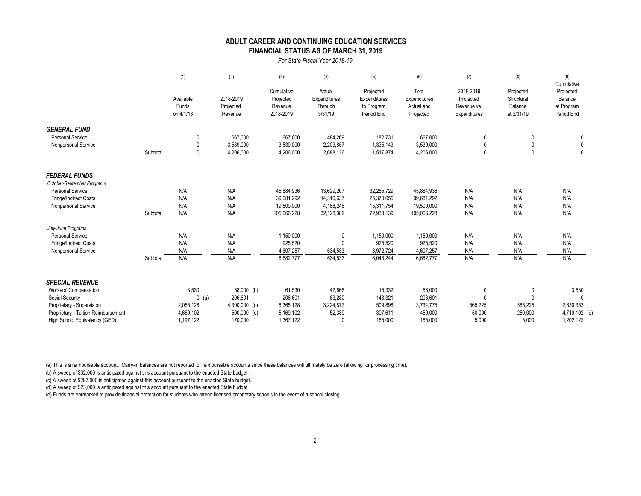### **FINANCIAL STATUS AS OF MARCH 31, 2019 ADULT CAREER AND CONTINUING EDUCATION SERVICES**

#### *For State Fiscal Year 2018-19*

|                                     |          | (1)                             | (2)                               | (3)                                             | (4)                                          | (5)                                                   | (6)                                              | (7)                                                   | (8)                                              | (9)<br>Cumulative                                |
|-------------------------------------|----------|---------------------------------|-----------------------------------|-------------------------------------------------|----------------------------------------------|-------------------------------------------------------|--------------------------------------------------|-------------------------------------------------------|--------------------------------------------------|--------------------------------------------------|
|                                     |          | Available<br>Funds<br>on 4/1/18 | 2018-2019<br>Projected<br>Revenue | Cumulative<br>Projected<br>Revenue<br>2018-2019 | Actual<br>Expenditures<br>Through<br>3/31/19 | Projected<br>Expenditures<br>to Program<br>Period End | Total<br>Expenditures<br>Actual and<br>Projected | 2018-2019<br>Projected<br>Revenue vs.<br>Expenditures | Projected<br>Structural<br>Balance<br>at 3/31/19 | Projected<br>Balance<br>at Program<br>Period End |
| <b>GENERAL FUND</b>                 |          |                                 |                                   |                                                 |                                              |                                                       |                                                  |                                                       |                                                  |                                                  |
| <b>Personal Service</b>             |          | $\mathbf{0}$                    | 667,000                           | 667,000                                         | 484,269                                      | 182,731                                               | 667,000                                          | $\mathbf{0}$                                          | $\mathbf{0}$                                     | 0                                                |
| Nonpersonal Service                 |          |                                 | 3,539,000                         | 3,539,000                                       | 2,203,857                                    | 1,335,143                                             | 3,539,000                                        |                                                       |                                                  |                                                  |
|                                     | Subtotal | $\mathbf{0}$                    | 4,206,000                         | 4,206,000                                       | 2,688,126                                    | 1,517,874                                             | 4,206,000                                        | $\mathbf{0}$                                          | $\Omega$                                         |                                                  |
| <b>FEDERAL FUNDS</b>                |          |                                 |                                   |                                                 |                                              |                                                       |                                                  |                                                       |                                                  |                                                  |
| October-September Programs          |          |                                 |                                   |                                                 |                                              |                                                       |                                                  |                                                       |                                                  |                                                  |
| <b>Personal Service</b>             |          | N/A                             | N/A                               | 45,884,936                                      | 13,629,207                                   | 32,255,729                                            | 45,884,936                                       | N/A                                                   | N/A                                              | N/A                                              |
| Fringe/Indirect Costs               |          | N/A                             | N/A                               | 39,681,292                                      | 14,310,637                                   | 25,370,655                                            | 39,681,292                                       | N/A                                                   | N/A                                              | N/A                                              |
| Nonpersonal Service                 |          | N/A                             | N/A                               | 19,500,000                                      | 4,188,246                                    | 15,311,754                                            | 19,500,000                                       | N/A                                                   | N/A                                              | N/A                                              |
|                                     | Subtotal | N/A                             | N/A                               | 105,066,228                                     | 32,128,089                                   | 72,938,139                                            | 105,066,228                                      | N/A                                                   | N/A                                              | N/A                                              |
| July-June Programs                  |          |                                 |                                   |                                                 |                                              |                                                       |                                                  |                                                       |                                                  |                                                  |
| <b>Personal Service</b>             |          | N/A                             | N/A                               | 1,150,000                                       | 0                                            | 1,150,000                                             | 1,150,000                                        | N/A                                                   | N/A                                              | N/A                                              |
| Fringe/Indirect Costs               |          | N/A                             | N/A                               | 925,520                                         | $\bigcap$                                    | 925,520                                               | 925,520                                          | N/A                                                   | N/A                                              | N/A                                              |
| Nonpersonal Service                 |          | N/A                             | N/A                               | 4,607,257                                       | 634,533                                      | 3,972,724                                             | 4,607,257                                        | N/A                                                   | N/A                                              | N/A                                              |
|                                     | Subtotal | N/A                             | N/A                               | 6,682,777                                       | 634,533                                      | 6,048,244                                             | 6,682,777                                        | N/A                                                   | N/A                                              | N/A                                              |
| <b>SPECIAL REVENUE</b>              |          |                                 |                                   |                                                 |                                              |                                                       |                                                  |                                                       |                                                  |                                                  |
| <b>Workers' Compensation</b>        |          | 3,530                           | 58,000 (b)                        | 61,530                                          | 42,668                                       | 15,332                                                | 58,000                                           | $\mathbf{0}$                                          | $\mathbf{0}$                                     | 3,530                                            |
| Social Security                     |          | $0$ (a)                         | 206,601                           | 206,601                                         | 63,280                                       | 143,321                                               | 206,601                                          | $\Omega$                                              | $\Omega$                                         | $\Omega$                                         |
| Proprietary - Supervision           |          | 2,065,128                       | $4,300,000$ (c)                   | 6,365,128                                       | 3,224,877                                    | 509,898                                               | 3,734,775                                        | 565,225                                               | 565,225                                          | 2,630,353                                        |
| Proprietary - Tuition Reimbursement |          | 4,669,102                       | $500,000$ (d)                     | 5,169,102                                       | 52,389                                       | 397,611                                               | 450,000                                          | 50,000                                                | 250,000                                          | 4,719,102 (e)                                    |
| High School Equivalency (GED)       |          | 1,197,122                       | 170,000                           | 1,367,122                                       | $\Omega$                                     | 165,000                                               | 165,000                                          | 5,000                                                 | 5,000                                            | 1,202,122                                        |

(a) This is a reimbursable account. Carry-in balances are not reported for reimbursable accounts since these balances will ultimately be zero (allowing for processing time).

(b) A sweep of \$32,000 is anticipated against this account pursuant to the enacted State budget.

(c) A sweep of \$297,000 is anticipated against this account pursuant to the enacted State budget.

(d) A sweep of \$23,000 is anticipated against this account pursuant to the enacted State budget.

(e) Funds are earmarked to provide financial protection for students who attend licensed proprietary schools in the event of a school closing.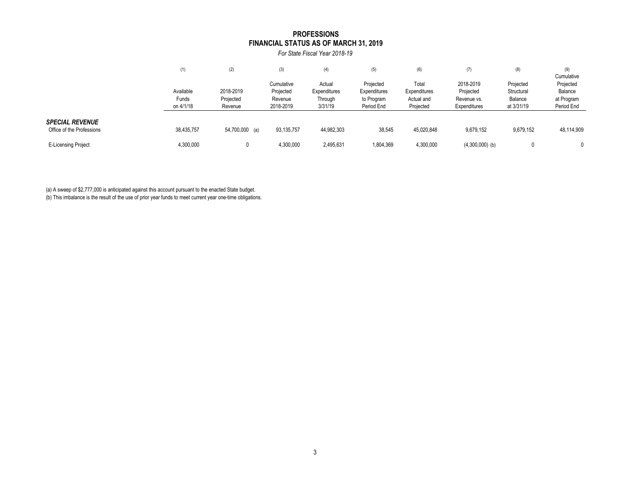#### **FINANCIAL STATUS AS OF MARCH 31, 2019 PROFESSIONS**

*For State Fiscal Year 2018-19*

|                                                     | (1)                             | (2)                               | (3)                                             | (4)                                          | (5)                                                   | (6)                                              | (7)                                                   | (8)                                              | (9)<br>Cumulative                                |
|-----------------------------------------------------|---------------------------------|-----------------------------------|-------------------------------------------------|----------------------------------------------|-------------------------------------------------------|--------------------------------------------------|-------------------------------------------------------|--------------------------------------------------|--------------------------------------------------|
|                                                     | Available<br>Funds<br>on 4/1/18 | 2018-2019<br>Projected<br>Revenue | Cumulative<br>Projected<br>Revenue<br>2018-2019 | Actual<br>Expenditures<br>Through<br>3/31/19 | Projected<br>Expenditures<br>to Program<br>Period End | Total<br>Expenditures<br>Actual and<br>Projected | 2018-2019<br>Projected<br>Revenue vs.<br>Expenditures | Projected<br>Structural<br>Balance<br>at 3/31/19 | Projected<br>Balance<br>at Program<br>Period End |
| <b>SPECIAL REVENUE</b><br>Office of the Professions | 38,435,757                      | 54,700,000 (a)                    | 93,135,757                                      | 44,982,303                                   | 38,545                                                | 45,020,848                                       | 9,679,152                                             | 9,679,152                                        | 48,114,909                                       |
| <b>E-Licensing Project</b>                          | 4,300,000                       |                                   | 4,300,000                                       | 2,495,631                                    | 1,804,369                                             | 4,300,000                                        | $(4,300,000)$ (b)                                     |                                                  |                                                  |

(a) A sweep of \$2,777,000 is anticipated against this account pursuant to the enacted State budget.

(b) This imbalance is the result of the use of prior year funds to meet current year one-time obligations.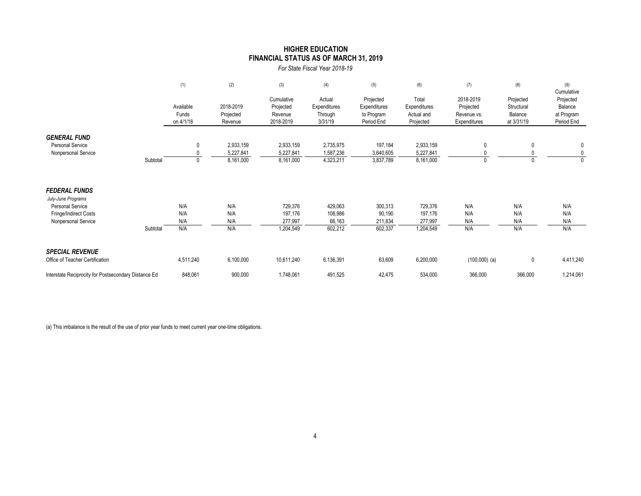### **HIGHER EDUCATION FINANCIAL STATUS AS OF MARCH 31, 2019**

*For State Fiscal Year 2018-19*

|                                                                                                                       |          | (1)                             | (2)                                 | (3)                                             | (4)                                          | (5)                                                   | (6)                                              | (7)                                                   | (8)                                              | (9)<br>Cumulative                                |
|-----------------------------------------------------------------------------------------------------------------------|----------|---------------------------------|-------------------------------------|-------------------------------------------------|----------------------------------------------|-------------------------------------------------------|--------------------------------------------------|-------------------------------------------------------|--------------------------------------------------|--------------------------------------------------|
|                                                                                                                       |          | Available<br>Funds<br>on 4/1/18 | 2018-2019<br>Projected<br>Revenue   | Cumulative<br>Projected<br>Revenue<br>2018-2019 | Actual<br>Expenditures<br>Through<br>3/31/19 | Projected<br>Expenditures<br>to Program<br>Period End | Total<br>Expenditures<br>Actual and<br>Projected | 2018-2019<br>Projected<br>Revenue vs.<br>Expenditures | Projected<br>Structural<br>Balance<br>at 3/31/19 | Projected<br>Balance<br>at Program<br>Period End |
| <b>GENERAL FUND</b><br><b>Personal Service</b><br>Nonpersonal Service                                                 | Subtotal |                                 | 2,933,159<br>5,227,841<br>8,161,000 | 2,933,159<br>5,227,841<br>8,161,000             | 2,735,975<br>1,587,236<br>4,323,211          | 197,184<br>3,640,605<br>3,837,789                     | 2,933,159<br>5,227,841<br>8,161,000              |                                                       | 0                                                | 0<br>0<br>0                                      |
| <b>FEDERAL FUNDS</b><br>July-June Programs<br><b>Personal Service</b><br>Fringe/Indirect Costs<br>Nonpersonal Service | Subtotal | N/A<br>N/A<br>N/A<br>N/A        | N/A<br>N/A<br>N/A<br>N/A            | 729,376<br>197,176<br>277,997<br>1,204,549      | 429,063<br>106,986<br>66,163<br>602,212      | 300,313<br>90,190<br>211,834<br>602,337               | 729,376<br>197,176<br>277,997<br>1,204,549       | N/A<br>N/A<br>N/A<br>N/A                              | N/A<br>N/A<br>N/A<br>N/A                         | N/A<br>N/A<br>N/A<br>N/A                         |
| <b>SPECIAL REVENUE</b><br>Office of Teacher Certification                                                             |          | 4,511,240                       | 6,100,000                           | 10,611,240                                      | 6,136,391                                    | 63,609                                                | 6,200,000                                        | $(100,000)$ (a)                                       | 0                                                | 4,411,240                                        |
| Interstate Reciprocity for Postsecondary Distance Ed                                                                  |          | 848,061                         | 900,000                             | 1,748,061                                       | 491,525                                      | 42,475                                                | 534,000                                          | 366,000                                               | 366,000                                          | 1,214,061                                        |

(a) This imbalance is the result of the use of prior year funds to meet current year one-time obligations.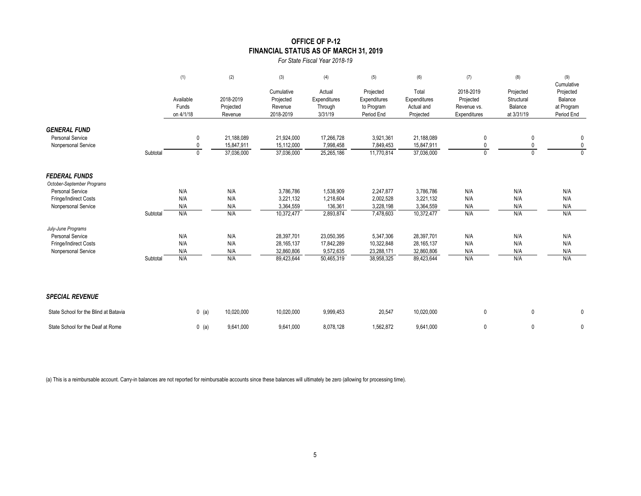### **OFFICE OF P-12 FINANCIAL STATUS AS OF MARCH 31, 2019**

*For State Fiscal Year 2018-19*

|                                                                       |          | (1)                             | (2)                                    | (3)                                             | (4)                                          | (5)                                                   | (6)                                              | (7)                                                   | (8)                                              | (9)<br>Cumulative                                |
|-----------------------------------------------------------------------|----------|---------------------------------|----------------------------------------|-------------------------------------------------|----------------------------------------------|-------------------------------------------------------|--------------------------------------------------|-------------------------------------------------------|--------------------------------------------------|--------------------------------------------------|
|                                                                       |          | Available<br>Funds<br>on 4/1/18 | 2018-2019<br>Projected<br>Revenue      | Cumulative<br>Projected<br>Revenue<br>2018-2019 | Actual<br>Expenditures<br>Through<br>3/31/19 | Projected<br>Expenditures<br>to Program<br>Period End | Total<br>Expenditures<br>Actual and<br>Projected | 2018-2019<br>Projected<br>Revenue vs.<br>Expenditures | Projected<br>Structural<br>Balance<br>at 3/31/19 | Projected<br>Balance<br>at Program<br>Period End |
| <b>GENERAL FUND</b><br><b>Personal Service</b><br>Nonpersonal Service | Subtotal | 0<br>0<br>$\mathbf{0}$          | 21,188,089<br>15,847,911<br>37,036,000 | 21,924,000<br>15,112,000<br>37,036,000          | 17,266,728<br>7,998,458<br>25,265,186        | 3,921,361<br>7,849,453<br>11,770,814                  | 21,188,089<br>15,847,911<br>37,036,000           | 0<br>0<br>$\mathbf{0}$                                | 0<br>0<br>$\Omega$                               | 0<br>$\mathbf 0$<br>$\mathbf{0}$                 |
| <b>FEDERAL FUNDS</b><br>October-September Programs                    |          |                                 |                                        |                                                 |                                              |                                                       |                                                  |                                                       |                                                  |                                                  |
| <b>Personal Service</b>                                               |          | N/A                             | N/A                                    | 3,786,786                                       | 1,538,909                                    | 2,247,877                                             | 3,786,786                                        | N/A                                                   | N/A                                              | N/A                                              |
| Fringe/Indirect Costs                                                 |          | N/A                             | N/A                                    | 3,221,132                                       | 1,218,604                                    | 2,002,528                                             | 3,221,132                                        | N/A                                                   | N/A                                              | N/A                                              |
| Nonpersonal Service                                                   |          | N/A                             | N/A                                    | 3,364,559                                       | 136,361                                      | 3,228,198                                             | 3,364,559                                        | N/A                                                   | N/A                                              | N/A                                              |
|                                                                       | Subtotal | N/A                             | N/A                                    | 10,372,477                                      | 2,893,874                                    | 7,478,603                                             | 10,372,477                                       | N/A                                                   | N/A                                              | N/A                                              |
| July-June Programs                                                    |          |                                 |                                        |                                                 |                                              |                                                       |                                                  |                                                       |                                                  |                                                  |
| <b>Personal Service</b>                                               |          | N/A                             | N/A                                    | 28,397,701                                      | 23,050,395                                   | 5,347,306                                             | 28,397,701                                       | N/A                                                   | N/A                                              | N/A                                              |
| Fringe/Indirect Costs                                                 |          | N/A                             | N/A                                    | 28, 165, 137                                    | 17,842,289                                   | 10,322,848                                            | 28, 165, 137                                     | N/A                                                   | N/A                                              | N/A                                              |
| Nonpersonal Service                                                   |          | N/A                             | N/A                                    | 32.860.806                                      | 9,572,635                                    | 23,288,171                                            | 32,860,806                                       | N/A                                                   | N/A                                              | N/A                                              |
|                                                                       | Subtotal | N/A                             | N/A                                    | 89,423,644                                      | 50,465,319                                   | 38,958,325                                            | 89,423,644                                       | N/A                                                   | N/A                                              | N/A                                              |
| <b>SPECIAL REVENUE</b>                                                |          |                                 |                                        |                                                 |                                              |                                                       |                                                  |                                                       |                                                  |                                                  |
| State School for the Blind at Batavia                                 |          | $0$ (a)                         | 10,020,000                             | 10,020,000                                      | 9,999,453                                    | 20,547                                                | 10,020,000                                       | 0                                                     | $\mathbf 0$                                      | 0                                                |
| State School for the Deaf at Rome                                     |          | $0$ (a)                         | 9,641,000                              | 9,641,000                                       | 8,078,128                                    | 1,562,872                                             | 9,641,000                                        | 0                                                     | 0                                                | 0                                                |

(a) This is a reimbursable account. Carry-in balances are not reported for reimbursable accounts since these balances will ultimately be zero (allowing for processing time).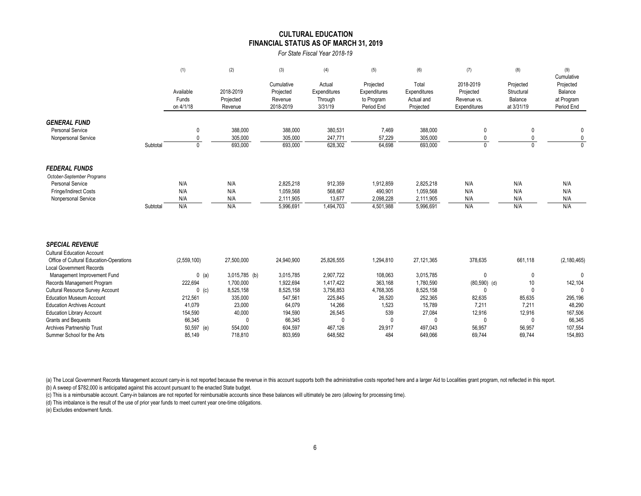#### **FINANCIAL STATUS AS OF MARCH 31, 2019 CULTURAL EDUCATION**

*For State Fiscal Year 2018-19*

|                                                                       |          | (1)                | (2)                        | (3)                    | (4)                    | (5)                  | (6)                    | (7)                 | (8)                      | (9)<br>Cumulative        |
|-----------------------------------------------------------------------|----------|--------------------|----------------------------|------------------------|------------------------|----------------------|------------------------|---------------------|--------------------------|--------------------------|
|                                                                       |          |                    |                            | Cumulative             | Actual                 | Projected            | Total                  | 2018-2019           | Projected                | Projected                |
|                                                                       |          | Available          | 2018-2019                  | Projected              | Expenditures           | Expenditures         | Expenditures           | Projected           | Structural               | Balance                  |
|                                                                       |          | Funds              | Projected                  | Revenue                | Through                | to Program           | Actual and             | Revenue vs.         | Balance                  | at Program               |
|                                                                       |          | on 4/1/18          | Revenue                    | 2018-2019              | 3/31/19                | Period End           | Projected              | Expenditures        | at 3/31/19               | Period End               |
|                                                                       |          |                    |                            |                        |                        |                      |                        |                     |                          |                          |
| <b>GENERAL FUND</b>                                                   |          |                    |                            |                        |                        |                      |                        |                     |                          |                          |
| <b>Personal Service</b>                                               |          | 0                  | 388,000                    | 388,000                | 380,531                | 7,469                | 388,000                | 0                   | 0                        | 0                        |
| Nonpersonal Service                                                   |          | 0<br>$\mathbf{0}$  | 305,000                    | 305,000                | 247,771                | 57,229               | 305,000                | 0<br>$\mathbf{0}$   | $\Omega$<br><sup>0</sup> | $\mathbf{0}$<br>$\Omega$ |
|                                                                       | Subtotal |                    | 693,000                    | 693,000                | 628,302                | 64,698               | 693,000                |                     |                          |                          |
| <b>FEDERAL FUNDS</b>                                                  |          |                    |                            |                        |                        |                      |                        |                     |                          |                          |
| October-September Programs                                            |          |                    |                            |                        |                        |                      |                        |                     |                          |                          |
| <b>Personal Service</b>                                               |          | N/A                | N/A                        | 2,825,218              | 912,359                | 1,912,859            | 2,825,218              | N/A                 | N/A                      | N/A                      |
| Fringe/Indirect Costs                                                 |          | N/A                | N/A                        | 1,059,568              | 568,667                | 490,901              | 1,059,568              | N/A                 | N/A                      | N/A                      |
| Nonpersonal Service                                                   |          | N/A                | N/A                        | 2,111,905              | 13,677                 | 2,098,228            | 2,111,905              | N/A                 | N/A                      | N/A                      |
|                                                                       | Subtotal | N/A                | N/A                        | 5,996,691              | 1,494,703              | 4,501,988            | 5,996,691              | N/A                 | N/A                      | N/A                      |
|                                                                       |          |                    |                            |                        |                        |                      |                        |                     |                          |                          |
| <b>SPECIAL REVENUE</b>                                                |          |                    |                            |                        |                        |                      |                        |                     |                          |                          |
| <b>Cultural Education Account</b>                                     |          |                    |                            |                        |                        |                      |                        |                     |                          |                          |
| Office of Cultural Education-Operations                               |          | (2,559,100)        | 27,500,000                 | 24,940,900             | 25,826,555             | 1,294,810            | 27,121,365             | 378,635             | 661,118                  | (2, 180, 465)            |
| <b>Local Government Records</b>                                       |          |                    |                            |                        |                        |                      |                        |                     |                          | $\mathbf{0}$             |
| Management Improvement Fund                                           |          | $0$ (a)<br>222,694 | 3,015,785 (b)<br>1,700,000 | 3,015,785<br>1,922,694 | 2,907,722<br>1,417,422 | 108,063              | 3,015,785<br>1,780,590 | 0                   | $\theta$                 |                          |
| Records Management Program<br><b>Cultural Resource Survey Account</b> |          |                    | 8,525,158                  | 8,525,158              | 3,756,853              | 363,168<br>4,768,305 | 8,525,158              | $(80,590)$ (d)<br>0 | 10<br>$\Omega$           | 142,104<br>$\Omega$      |
| <b>Education Museum Account</b>                                       |          | $0$ (c)<br>212,561 | 335,000                    | 547,561                | 225,845                | 26,520               | 252,365                | 82,635              | 85,635                   | 295,196                  |
| <b>Education Archives Account</b>                                     |          | 41,079             | 23,000                     | 64,079                 | 14,266                 | 1,523                | 15,789                 | 7,211               | 7,211                    | 48,290                   |
| <b>Education Library Account</b>                                      |          | 154,590            | 40,000                     | 194,590                | 26,545                 | 539                  | 27,084                 | 12,916              | 12,916                   | 167,506                  |
| <b>Grants and Bequests</b>                                            |          | 66,345             | $\mathbf{0}$               | 66,345                 | 0                      | $\mathbf{0}$         | 0                      | $\mathbf{0}$        | $\mathbf{0}$             | 66,345                   |
| <b>Archives Partnership Trust</b>                                     |          | 50,597 (e)         | 554,000                    | 604,597                | 467,126                | 29,917               | 497,043                | 56,957              | 56,957                   | 107,554                  |
| Summer School for the Arts                                            |          | 85.149             | 718.810                    | 803.959                | 648.582                | 484                  | 649.066                | 69.744              | 69.744                   | 154.893                  |

(a) The Local Government Records Management account carry-in is not reported because the revenue in this account supports both the administrative costs reported here and a larger Aid to Localities grant program, not reflec

(b) A sweep of \$782,000 is anticipated against this account pursuant to the enacted State budget.

(c) This is a reimbursable account. Carry-in balances are not reported for reimbursable accounts since these balances will ultimately be zero (allowing for processing time).

(d) This imbalance is the result of the use of prior year funds to meet current year one-time obligations.

(e) Excludes endowment funds.